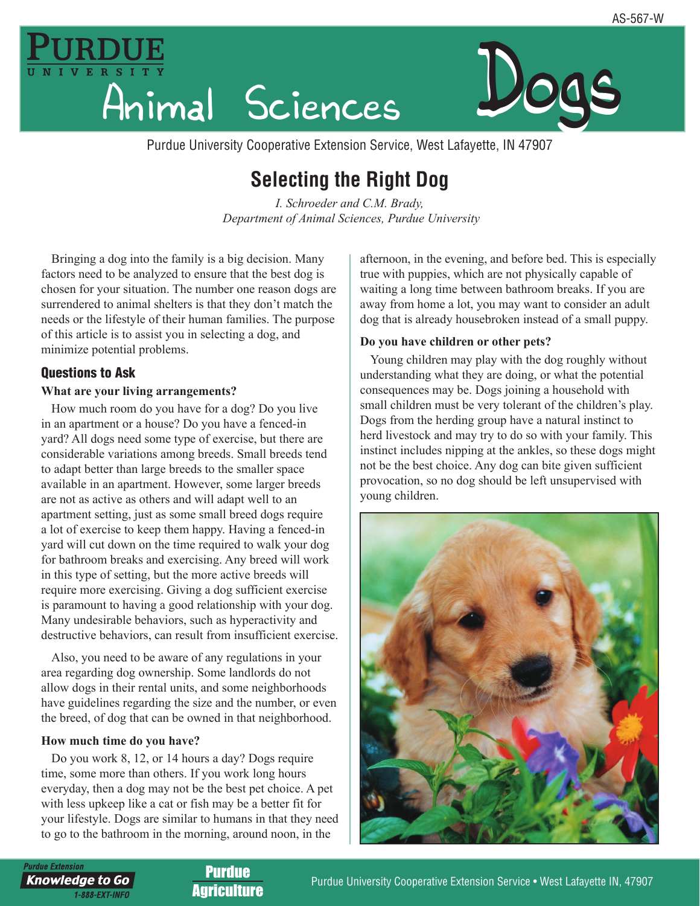



Purdue University Cooperative Extension Service, West Lafayette, IN 47907

# **Selecting the Right Dog**

*I. Schroeder and C.M. Brady, Department of Animal Sciences, Purdue University*

Bringing a dog into the family is a big decision. Many factors need to be analyzed to ensure that the best dog is chosen for your situation. The number one reason dogs are surrendered to animal shelters is that they don't match the needs or the lifestyle of their human families. The purpose of this article is to assist you in selecting a dog, and minimize potential problems.

# Questions to Ask

## **What are your living arrangements?**

How much room do you have for a dog? Do you live in an apartment or a house? Do you have a fenced-in yard? All dogs need some type of exercise, but there are considerable variations among breeds. Small breeds tend to adapt better than large breeds to the smaller space available in an apartment. However, some larger breeds are not as active as others and will adapt well to an apartment setting, just as some small breed dogs require a lot of exercise to keep them happy. Having a fenced-in yard will cut down on the time required to walk your dog for bathroom breaks and exercising. Any breed will work in this type of setting, but the more active breeds will require more exercising. Giving a dog sufficient exercise is paramount to having a good relationship with your dog. Many undesirable behaviors, such as hyperactivity and destructive behaviors, can result from insufficient exercise.

Also, you need to be aware of any regulations in your area regarding dog ownership. Some landlords do not allow dogs in their rental units, and some neighborhoods have guidelines regarding the size and the number, or even the breed, of dog that can be owned in that neighborhood.

#### **How much time do you have?**

Do you work 8, 12, or 14 hours a day? Dogs require time, some more than others. If you work long hours everyday, then a dog may not be the best pet choice. A pet with less upkeep like a cat or fish may be a better fit for your lifestyle. Dogs are similar to humans in that they need to go to the bathroom in the morning, around noon, in the

afternoon, in the evening, and before bed. This is especially true with puppies, which are not physically capable of waiting a long time between bathroom breaks. If you are away from home a lot, you may want to consider an adult dog that is already housebroken instead of a small puppy.

## **Do you have children or other pets?**

Young children may play with the dog roughly without understanding what they are doing, or what the potential consequences may be. Dogs joining a household with small children must be very tolerant of the children's play. Dogs from the herding group have a natural instinct to herd livestock and may try to do so with your family. This instinct includes nipping at the ankles, so these dogs might not be the best choice. Any dog can bite given sufficient provocation, so no dog should be left unsupervised with young children.



**Purdue Extension** 

**Knowledge to Go** 1-888-EXT-INFO

Purdue **Agriculture**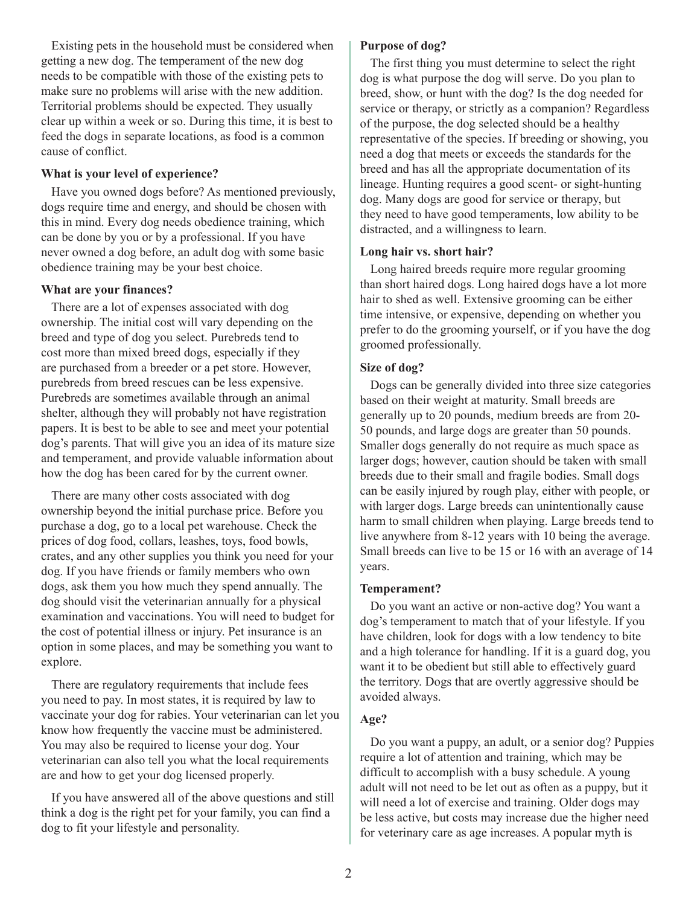Existing pets in the household must be considered when getting a new dog. The temperament of the new dog needs to be compatible with those of the existing pets to make sure no problems will arise with the new addition. Territorial problems should be expected. They usually clear up within a week or so. During this time, it is best to feed the dogs in separate locations, as food is a common cause of conflict.

#### **What is your level of experience?**

Have you owned dogs before? As mentioned previously, dogs require time and energy, and should be chosen with this in mind. Every dog needs obedience training, which can be done by you or by a professional. If you have never owned a dog before, an adult dog with some basic obedience training may be your best choice.

#### **What are your finances?**

There are a lot of expenses associated with dog ownership. The initial cost will vary depending on the breed and type of dog you select. Purebreds tend to cost more than mixed breed dogs, especially if they are purchased from a breeder or a pet store. However, purebreds from breed rescues can be less expensive. Purebreds are sometimes available through an animal shelter, although they will probably not have registration papers. It is best to be able to see and meet your potential dog's parents. That will give you an idea of its mature size and temperament, and provide valuable information about how the dog has been cared for by the current owner.

There are many other costs associated with dog ownership beyond the initial purchase price. Before you purchase a dog, go to a local pet warehouse. Check the prices of dog food, collars, leashes, toys, food bowls, crates, and any other supplies you think you need for your dog. If you have friends or family members who own dogs, ask them you how much they spend annually. The dog should visit the veterinarian annually for a physical examination and vaccinations. You will need to budget for the cost of potential illness or injury. Pet insurance is an option in some places, and may be something you want to explore.

There are regulatory requirements that include fees you need to pay. In most states, it is required by law to vaccinate your dog for rabies. Your veterinarian can let you know how frequently the vaccine must be administered. You may also be required to license your dog. Your veterinarian can also tell you what the local requirements are and how to get your dog licensed properly.

If you have answered all of the above questions and still think a dog is the right pet for your family, you can find a dog to fit your lifestyle and personality.

#### **Purpose of dog?**

The first thing you must determine to select the right dog is what purpose the dog will serve. Do you plan to breed, show, or hunt with the dog? Is the dog needed for service or therapy, or strictly as a companion? Regardless of the purpose, the dog selected should be a healthy representative of the species. If breeding or showing, you need a dog that meets or exceeds the standards for the breed and has all the appropriate documentation of its lineage. Hunting requires a good scent- or sight-hunting dog. Many dogs are good for service or therapy, but they need to have good temperaments, low ability to be distracted, and a willingness to learn.

#### **Long hair vs. short hair?**

Long haired breeds require more regular grooming than short haired dogs. Long haired dogs have a lot more hair to shed as well. Extensive grooming can be either time intensive, or expensive, depending on whether you prefer to do the grooming yourself, or if you have the dog groomed professionally.

#### **Size of dog?**

Dogs can be generally divided into three size categories based on their weight at maturity. Small breeds are generally up to 20 pounds, medium breeds are from 20- 50 pounds, and large dogs are greater than 50 pounds. Smaller dogs generally do not require as much space as larger dogs; however, caution should be taken with small breeds due to their small and fragile bodies. Small dogs can be easily injured by rough play, either with people, or with larger dogs. Large breeds can unintentionally cause harm to small children when playing. Large breeds tend to live anywhere from 8-12 years with 10 being the average. Small breeds can live to be 15 or 16 with an average of 14 years.

#### **Temperament?**

Do you want an active or non-active dog? You want a dog's temperament to match that of your lifestyle. If you have children, look for dogs with a low tendency to bite and a high tolerance for handling. If it is a guard dog, you want it to be obedient but still able to effectively guard the territory. Dogs that are overtly aggressive should be avoided always.

#### **Age?**

Do you want a puppy, an adult, or a senior dog? Puppies require a lot of attention and training, which may be difficult to accomplish with a busy schedule. A young adult will not need to be let out as often as a puppy, but it will need a lot of exercise and training. Older dogs may be less active, but costs may increase due the higher need for veterinary care as age increases. A popular myth is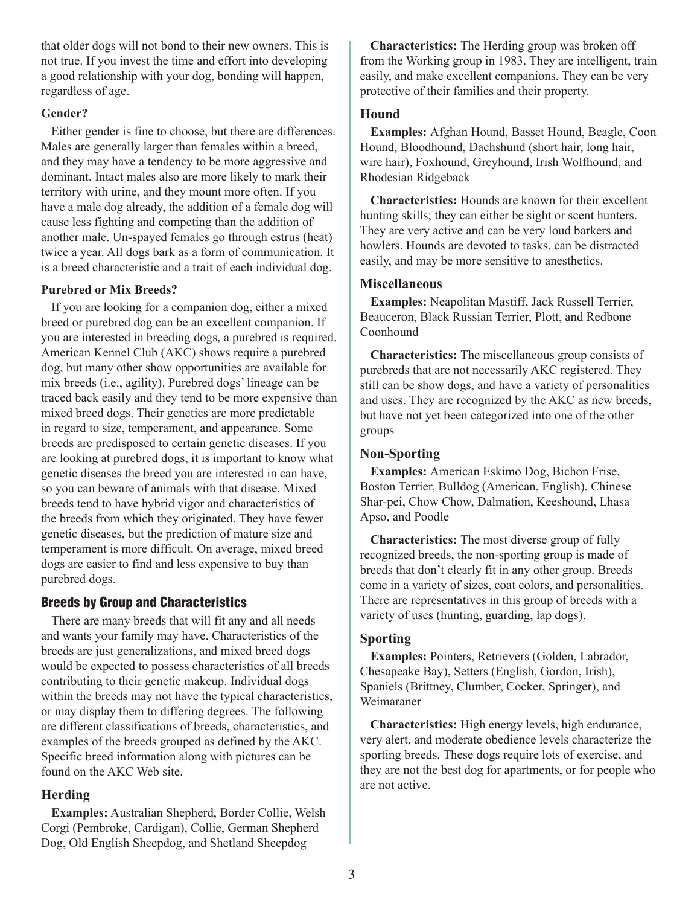that older dogs will not bond to their new owners. This is not true. If you invest the time and effort into developing a good relationship with your dog, bonding will happen, regardless of age.

## **Gender?**

Either gender is fine to choose, but there are differences. Males are generally larger than females within a breed, and they may have a tendency to be more aggressive and dominant. Intact males also are more likely to mark their territory with urine, and they mount more often. If you have a male dog already, the addition of a female dog will cause less fighting and competing than the addition of another male. Un-spayed females go through estrus (heat) twice a year. All dogs bark as a form of communication. It is a breed characteristic and a trait of each individual dog.

## **Purebred or Mix Breeds?**

If you are looking for a companion dog, either a mixed breed or purebred dog can be an excellent companion. If you are interested in breeding dogs, a purebred is required. American Kennel Club (AKC) shows require a purebred dog, but many other show opportunities are available for mix breeds (i.e., agility). Purebred dogs' lineage can be traced back easily and they tend to be more expensive than mixed breed dogs. Their genetics are more predictable in regard to size, temperament, and appearance. Some breeds are predisposed to certain genetic diseases. If you are looking at purebred dogs, it is important to know what genetic diseases the breed you are interested in can have, so you can beware of animals with that disease. Mixed breeds tend to have hybrid vigor and characteristics of the breeds from which they originated. They have fewer genetic diseases, but the prediction of mature size and temperament is more difficult. On average, mixed breed dogs are easier to find and less expensive to buy than purebred dogs.

# Breeds by Group and Characteristics

There are many breeds that will fit any and all needs and wants your family may have. Characteristics of the breeds are just generalizations, and mixed breed dogs would be expected to possess characteristics of all breeds contributing to their genetic makeup. Individual dogs within the breeds may not have the typical characteristics, or may display them to differing degrees. The following are different classifications of breeds, characteristics, and examples of the breeds grouped as defined by the AKC. Specific breed information along with pictures can be found on the AKC Web site.

## **Herding**

**Examples:** Australian Shepherd, Border Collie, Welsh Corgi (Pembroke, Cardigan), Collie, German Shepherd Dog, Old English Sheepdog, and Shetland Sheepdog

**Characteristics:** The Herding group was broken off from the Working group in 1983. They are intelligent, train easily, and make excellent companions. They can be very protective of their families and their property.

## **Hound**

**Examples:** Afghan Hound, Basset Hound, Beagle, Coon Hound, Bloodhound, Dachshund (short hair, long hair, wire hair), Foxhound, Greyhound, Irish Wolfhound, and Rhodesian Ridgeback

**Characteristics:** Hounds are known for their excellent hunting skills; they can either be sight or scent hunters. They are very active and can be very loud barkers and howlers. Hounds are devoted to tasks, can be distracted easily, and may be more sensitive to anesthetics.

## **Miscellaneous**

**Examples:** Neapolitan Mastiff, Jack Russell Terrier, Beauceron, Black Russian Terrier, Plott, and Redbone Coonhound

**Characteristics:** The miscellaneous group consists of purebreds that are not necessarily AKC registered. They still can be show dogs, and have a variety of personalities and uses. They are recognized by the AKC as new breeds, but have not yet been categorized into one of the other groups

## **Non-Sporting**

**Examples:** American Eskimo Dog, Bichon Frise, Boston Terrier, Bulldog (American, English), Chinese Shar-pei, Chow Chow, Dalmation, Keeshound, Lhasa Apso, and Poodle

**Characteristics:** The most diverse group of fully recognized breeds, the non-sporting group is made of breeds that don't clearly fit in any other group. Breeds come in a variety of sizes, coat colors, and personalities. There are representatives in this group of breeds with a variety of uses (hunting, guarding, lap dogs).

## **Sporting**

**Examples:** Pointers, Retrievers (Golden, Labrador, Chesapeake Bay), Setters (English, Gordon, Irish), Spaniels (Brittney, Clumber, Cocker, Springer), and Weimaraner

**Characteristics:** High energy levels, high endurance, very alert, and moderate obedience levels characterize the sporting breeds. These dogs require lots of exercise, and they are not the best dog for apartments, or for people who are not active.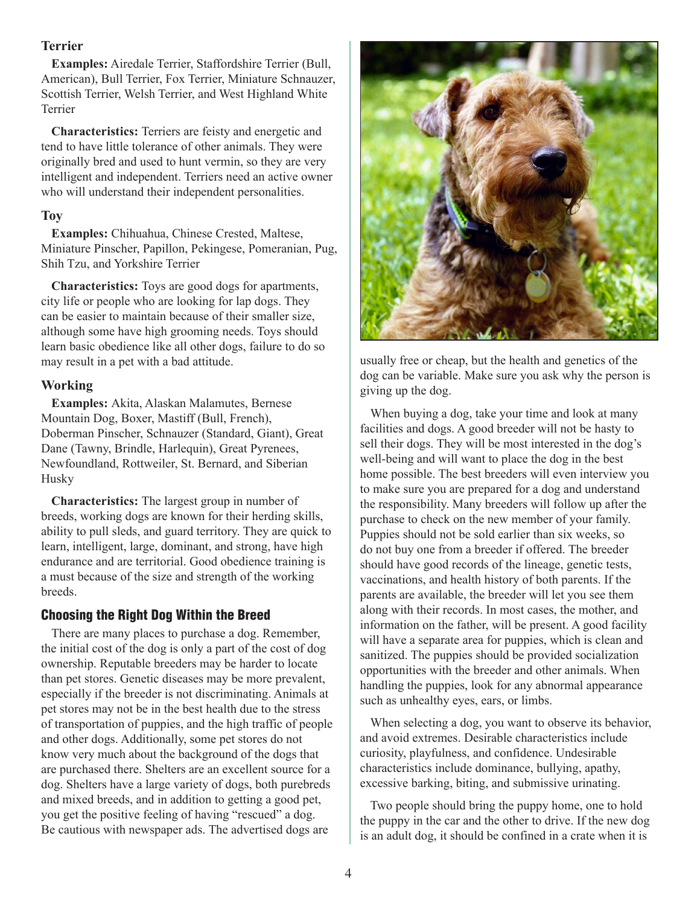## **Terrier**

**Examples:** Airedale Terrier, Staffordshire Terrier (Bull, American), Bull Terrier, Fox Terrier, Miniature Schnauzer, Scottish Terrier, Welsh Terrier, and West Highland White Terrier

**Characteristics:** Terriers are feisty and energetic and tend to have little tolerance of other animals. They were originally bred and used to hunt vermin, so they are very intelligent and independent. Terriers need an active owner who will understand their independent personalities.

#### **Toy**

**Examples:** Chihuahua, Chinese Crested, Maltese, Miniature Pinscher, Papillon, Pekingese, Pomeranian, Pug, Shih Tzu, and Yorkshire Terrier

**Characteristics:** Toys are good dogs for apartments, city life or people who are looking for lap dogs. They can be easier to maintain because of their smaller size, although some have high grooming needs. Toys should learn basic obedience like all other dogs, failure to do so may result in a pet with a bad attitude.

#### **Working**

**Examples:** Akita, Alaskan Malamutes, Bernese Mountain Dog, Boxer, Mastiff (Bull, French), Doberman Pinscher, Schnauzer (Standard, Giant), Great Dane (Tawny, Brindle, Harlequin), Great Pyrenees, Newfoundland, Rottweiler, St. Bernard, and Siberian Husky

**Characteristics:** The largest group in number of breeds, working dogs are known for their herding skills, ability to pull sleds, and guard territory. They are quick to learn, intelligent, large, dominant, and strong, have high endurance and are territorial. Good obedience training is a must because of the size and strength of the working breeds.

#### Choosing the Right Dog Within the Breed

There are many places to purchase a dog. Remember, the initial cost of the dog is only a part of the cost of dog ownership. Reputable breeders may be harder to locate than pet stores. Genetic diseases may be more prevalent, especially if the breeder is not discriminating. Animals at pet stores may not be in the best health due to the stress of transportation of puppies, and the high traffic of people and other dogs. Additionally, some pet stores do not know very much about the background of the dogs that are purchased there. Shelters are an excellent source for a dog. Shelters have a large variety of dogs, both purebreds and mixed breeds, and in addition to getting a good pet, you get the positive feeling of having "rescued" a dog. Be cautious with newspaper ads. The advertised dogs are



usually free or cheap, but the health and genetics of the dog can be variable. Make sure you ask why the person is giving up the dog.

When buying a dog, take your time and look at many facilities and dogs. A good breeder will not be hasty to sell their dogs. They will be most interested in the dog's well-being and will want to place the dog in the best home possible. The best breeders will even interview you to make sure you are prepared for a dog and understand the responsibility. Many breeders will follow up after the purchase to check on the new member of your family. Puppies should not be sold earlier than six weeks, so do not buy one from a breeder if offered. The breeder should have good records of the lineage, genetic tests, vaccinations, and health history of both parents. If the parents are available, the breeder will let you see them along with their records. In most cases, the mother, and information on the father, will be present. A good facility will have a separate area for puppies, which is clean and sanitized. The puppies should be provided socialization opportunities with the breeder and other animals. When handling the puppies, look for any abnormal appearance such as unhealthy eyes, ears, or limbs.

When selecting a dog, you want to observe its behavior, and avoid extremes. Desirable characteristics include curiosity, playfulness, and confidence. Undesirable characteristics include dominance, bullying, apathy, excessive barking, biting, and submissive urinating.

Two people should bring the puppy home, one to hold the puppy in the car and the other to drive. If the new dog is an adult dog, it should be confined in a crate when it is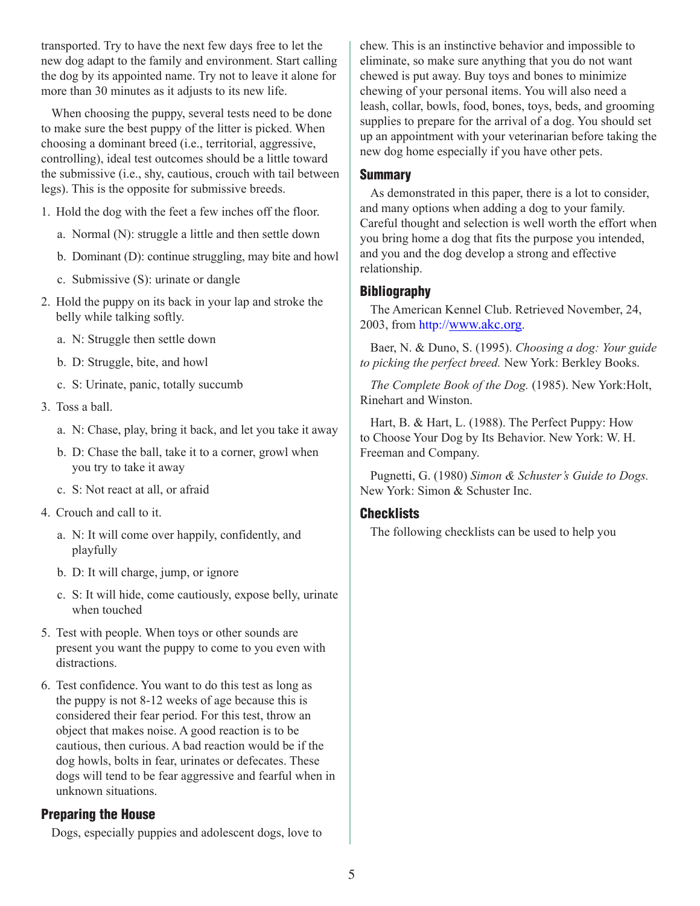transported. Try to have the next few days free to let the new dog adapt to the family and environment. Start calling the dog by its appointed name. Try not to leave it alone for more than 30 minutes as it adjusts to its new life.

When choosing the puppy, several tests need to be done to make sure the best puppy of the litter is picked. When choosing a dominant breed (i.e., territorial, aggressive, controlling), ideal test outcomes should be a little toward the submissive (i.e., shy, cautious, crouch with tail between legs). This is the opposite for submissive breeds.

1. Hold the dog with the feet a few inches off the floor.

- a. Normal (N): struggle a little and then settle down
- b. Dominant (D): continue struggling, may bite and howl
- c. Submissive (S): urinate or dangle
- 2. Hold the puppy on its back in your lap and stroke the belly while talking softly.
	- a. N: Struggle then settle down
	- b. D: Struggle, bite, and howl
	- c. S: Urinate, panic, totally succumb
- 3. Toss a ball.
	- a. N: Chase, play, bring it back, and let you take it away
	- b. D: Chase the ball, take it to a corner, growl when you try to take it away
	- c. S: Not react at all, or afraid
- 4. Crouch and call to it.
	- a. N: It will come over happily, confidently, and playfully
	- b. D: It will charge, jump, or ignore
	- c. S: It will hide, come cautiously, expose belly, urinate when touched
- 5. Test with people. When toys or other sounds are present you want the puppy to come to you even with distractions.
- 6. Test confidence. You want to do this test as long as the puppy is not 8-12 weeks of age because this is considered their fear period. For this test, throw an object that makes noise. A good reaction is to be cautious, then curious. A bad reaction would be if the dog howls, bolts in fear, urinates or defecates. These dogs will tend to be fear aggressive and fearful when in unknown situations.

# Preparing the House

Dogs, especially puppies and adolescent dogs, love to

chew. This is an instinctive behavior and impossible to eliminate, so make sure anything that you do not want chewed is put away. Buy toys and bones to minimize chewing of your personal items. You will also need a leash, collar, bowls, food, bones, toys, beds, and grooming supplies to prepare for the arrival of a dog. You should set up an appointment with your veterinarian before taking the new dog home especially if you have other pets.

# **Summary**

As demonstrated in this paper, there is a lot to consider, and many options when adding a dog to your family. Careful thought and selection is well worth the effort when you bring home a dog that fits the purpose you intended, and you and the dog develop a strong and effective relationship.

# **Bibliography**

The American Kennel Club. Retrieved November, 24, 2003, from http://www.akc.org.

Baer, N. & Duno, S. (1995). *Choosing a dog: Your guide to picking the perfect breed.* New York: Berkley Books.

*The Complete Book of the Dog.* (1985). New York:Holt, Rinehart and Winston.

Hart, B. & Hart, L. (1988). The Perfect Puppy: How to Choose Your Dog by Its Behavior. New York: W. H. Freeman and Company.

Pugnetti, G. (1980) *Simon & Schuster's Guide to Dogs.* New York: Simon & Schuster Inc.

## **Checklists**

The following checklists can be used to help you